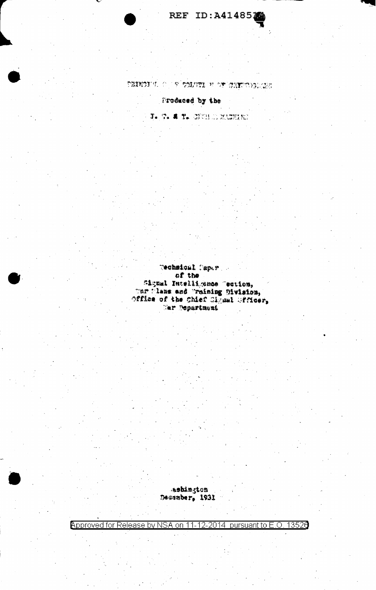

parter that we have the company of the control of the control of the control of the control of the control of the control of the control of the control of the control of the control of the control of the control of the con

Produced by the

T. T. A T. STORES WARREN

Technical Caper of the Signal Intelligence Tection,<br>Thr Wiens and Training Division,<br>Office of the Chief Clyml Gfficer, Tar Department

ashington<br>Dessaber, 1931

Approved for Release by NSA on 11-12-2014 pursuant to E.O. 13520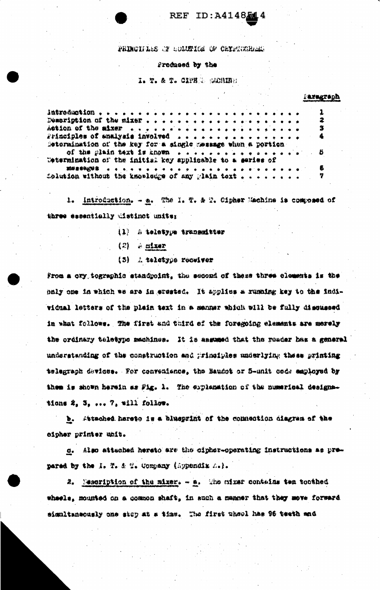## REF ID: A4148514

PRINCIPLES OF COLUMICS OF CHIPSORRESE

## Procheed by the

I. T. & T. CIPER ROUIDE

| <b>Faxagraph</b> |  |
|------------------|--|
|                  |  |

| $\Delta$ 6\$10n of the mixer and a same as a same and a same and $\Delta$       |  |  |  |  |  |  |  |  |  |  | З |
|---------------------------------------------------------------------------------|--|--|--|--|--|--|--|--|--|--|---|
| rrinciples of analysis involved                                                 |  |  |  |  |  |  |  |  |  |  | 4 |
| Detormination of the key for a single message when a portion                    |  |  |  |  |  |  |  |  |  |  |   |
| of the glain text is known $\cdots$ , $\cdots$ , $\cdots$ , $\cdots$ , $\cdots$ |  |  |  |  |  |  |  |  |  |  |   |
| Wetermination of the initish key applicable to a series of                      |  |  |  |  |  |  |  |  |  |  |   |
|                                                                                 |  |  |  |  |  |  |  |  |  |  | ß |
| Solution without the kmowledge of any glain tort $\ldots$ 7                     |  |  |  |  |  |  |  |  |  |  |   |
|                                                                                 |  |  |  |  |  |  |  |  |  |  |   |

1. Introduction. - a. The 1. T. & T. Cipher Machine is composed of three essentially distinct units:

- (1) A teletype transmitter
- $(2)$   $\approx$  oixer
- (5) A teletype receiver

From a cry tographic standpoint, the second of these three cloments is the paly one in which we are in erested. It applies a running key to the individual letters of the plain text in a manner which will be fully discussed in what follows. The first and third of the foregoing elements are merely the ordinary teletype machines. It is assumed that the reader has a general understanding of the construction and principles underlying these printing telegraph devices. For convenience, the Baudot or 5-unit code employed by them is shown herein as Fig. 1. The explanation of the numerical designations 2, 3, ... 7, will follow.

b. Attached hereto is a blueprint of the connection diagram of the eipher printer unit.

c. Also attached hereto are the cipher-operating instructions as prepared by the i. T. & T. Commany (Appendix A.).

2. Messription of the mixer. - a. The mixer contains tem toothed wheels, mounted on a common shaft, in such a manner that they move forward simultaneously one step at a time. The first wheel has 96 teeth and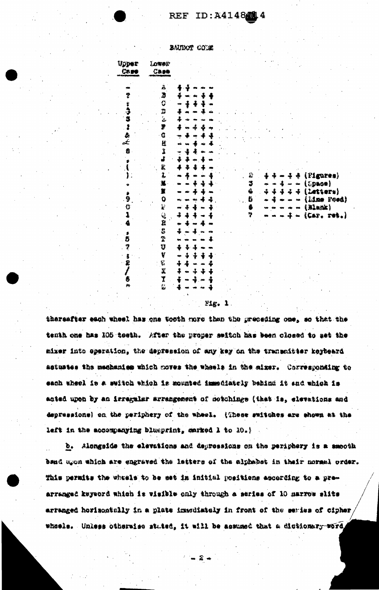## **REF ID: A4148214**

BAUDOT CODE

| יצטעו<br>$\cos$  | Lower<br>$\frac{7888}{7}$ |     |      |  |  |    |  |  |  |               |        |            |  |
|------------------|---------------------------|-----|------|--|--|----|--|--|--|---------------|--------|------------|--|
|                  | Á                         |     |      |  |  |    |  |  |  |               |        |            |  |
| Ÿ                | Э                         |     |      |  |  |    |  |  |  |               |        |            |  |
| Ê                | C                         | œ   |      |  |  |    |  |  |  |               |        |            |  |
| ज                | 囂                         | ł   |      |  |  |    |  |  |  |               |        |            |  |
| 5                | ر<br>مئ                   | J   |      |  |  |    |  |  |  |               |        |            |  |
| $\ddot{\cdot}$   | ¥                         | C/S |      |  |  |    |  |  |  |               |        |            |  |
| 毒                | G.                        | ٠   |      |  |  |    |  |  |  |               |        |            |  |
|                  | H                         | œ   |      |  |  |    |  |  |  |               |        |            |  |
| $\boldsymbol{a}$ | j<br>J                    |     |      |  |  |    |  |  |  |               |        |            |  |
|                  |                           | š   |      |  |  |    |  |  |  |               |        |            |  |
|                  | I.                        |     |      |  |  |    |  |  |  |               |        |            |  |
|                  | I.                        |     |      |  |  | Ĉ. |  |  |  |               |        | (Pigures)  |  |
|                  |                           |     |      |  |  | ٷ  |  |  |  |               | Space) |            |  |
|                  | Ï                         |     |      |  |  | Ĝ  |  |  |  |               |        | rttere}    |  |
| ğ                | 0                         |     |      |  |  | õ  |  |  |  |               |        | lize Foed  |  |
| Ü                | $\mathbf{k}$              |     |      |  |  | 6  |  |  |  | $(31$ ank $)$ |        |            |  |
| 1                | e)<br>R                   | 2   |      |  |  | Ÿ  |  |  |  |               |        | (Car. ret. |  |
|                  |                           |     |      |  |  |    |  |  |  |               |        |            |  |
|                  | S                         |     |      |  |  |    |  |  |  |               |        |            |  |
| ð                | $\mathbf{T}$              |     |      |  |  |    |  |  |  |               |        |            |  |
| Ÿ                | IJ.                       | ÷   |      |  |  |    |  |  |  |               |        |            |  |
| ŝ                | Y                         | ÷.  |      |  |  |    |  |  |  |               |        |            |  |
| £                | ę.                        | 4   |      |  |  |    |  |  |  |               |        |            |  |
| 1                | $\mathbf{Z}^{\prime}$     | 4   |      |  |  |    |  |  |  |               |        |            |  |
| 6<br>jъ          | $\frac{1}{2}$             |     |      |  |  |    |  |  |  |               |        |            |  |
|                  |                           |     |      |  |  |    |  |  |  |               |        |            |  |
|                  |                           |     | ቲስ የ |  |  |    |  |  |  |               |        |            |  |

theresfter each wheel has one tooth more than the preceding one, so that the tenth one has 105 teeth. After the proper switch has been closed to get the mixer into operation, the depression of any key on the transmitter keybeard astustes the mechanism which noves the wheels in the aixer. Corresponding to each wheel is a switch which is mounted immediately behind it and which is acted upon by an irregalar arrengement of cotchings (that is, elevations and depressions) on the periphery of the wheel. {These switches are shown at the left in the accompanying blueprint, marked 1 to 10.)

b. Alongside the elevations and depressions on the periphery is a smooth band upon which are engraved the letters of the alphabet in their normal order. This permits the wheele to be set in initial positions according to a prearranged keyword which is visible only through a series of 10 marrow slits arranged horizontally in a plate imacdiately in front of the series of cipher, wheele. Unless otherwise stated, it will be assumed that a dictionary word,

 $\widehat{A}$  .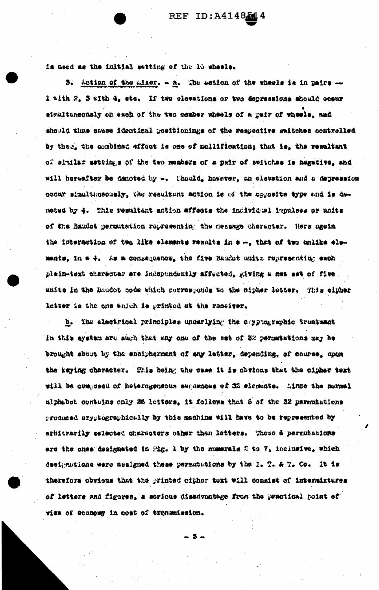is used as the initial estting of the 10 wheels.

3. Action of the miner. - a. The action of the wheels is in pairs -l with 2, 3 with 4, ste. If two elevations or two depressions should ocear simultuneously on each of the two member wheels of a pair of wheels, and should thus cance identical positionings of the respective switches controlled by then, the combined effect is one of mallification; that is, the resultant of similar settings of the two members of a pair of seluches is negative, and will hereafter be denoted by -. Chould, however, on elevation and a depression occur simultaneously, the resultant action is of the opposite type and is denoted by 4. This resultant action affects the individual impulses or units of the Baudot permutation representing the message character. Here again the interaction of two like elements results in a -, that of two unlike elements, in a 4. As a consequence, the five Raudot units representing each plain-text character are independently affected, giving a new set of five . unite in the Baudot code which corresponds to the cipher letter. This cipher letter is the one which is printed at the reseiver.

b. The electrical principles underlying the capytographic trustment in this system are such that any one of the set of 3% permutations may be brought about by the encipherment of any letter, depending, of course, upon the keying character. This being the case it is obvious that the cipher text will be composed of heterogensous sequences of 32 elements. Since the mormal alphabet contains only 26 letters. it follows that 6 of the 32 permutations produced eryptographically by this machine will have to be represented by arbitrarily selected characters other than letters. Those 6 permutations are the ones designated in Fig. 1 by the numerals 2 to 7, inclusive, which designations were assigned these permutations by the I. T. A T. Co. It is therefore obvious that the printed cipher text will consist of intermiztures of letters and figures, a scrious disadventage from the practical point of view of economy in cost of transmission.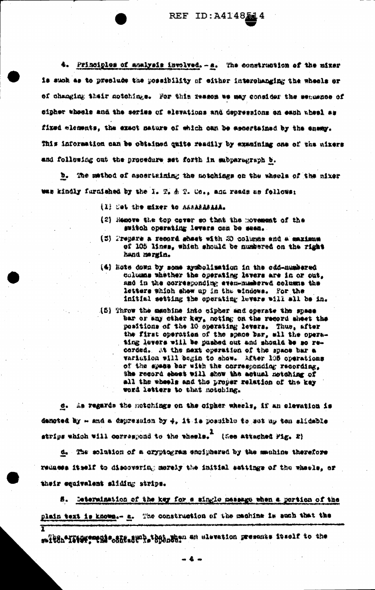4. Principles of analysis involved. - a. The construction of the mixer is such as to preclude the possibility of either interchanging the wheels or of changing thair motohings. For this reason we may consider the sequence of we feeld done no and the series of elevations and depressions on each wheel as fixed nlements, the exact nature of which can be ascortained by the enemy. This information can be obtained quite readily by examining one of the nixers and following out the procedure set forth in subparagraph b.

b. The mathod of ascertaining the motchings on the wheels of the mixer was kindly furnished by the 1. T. & T. Co., and reads as follows:

- (1) Cet the mixer to ASSARASASA.
- (2) Hemove the top cover so that the movement of the switch operating levers can be seen.
- (5) Prepare a record shact with 20 columns and a maximum of 105 lines, which should be numbered on the right hand mergin.
- (4) Hote down by some symbolisation in the odd-numbered columns thather the operating lavers are in or out. and in the corresponding even-managred columns the letters which show up in the windows. For the initial setting the operating levers will all be in.
- (5) Throw the membine into sipher and operate the space bar or any ciner hey, noting on the record sheet the positions of the 10 operating levers. Thus, after the first operation of the space bar, wil the operating levers will be pushed out and should be so recorded. At the mext operation of the space bar a variation will begin to show. After 105 operations of the spece bar with the corresponding recording, the record sheet will show the actual notching of all the wheels and the proper relation of the key word letters to that notohing.

c. As regards the notchings on the cipher wheels, if an elevation is denoted by - and a depression by 4, it is possible to set as ton slidable strips which will correspond to the wheels. (See attached Fig. 2)

d. The solution of a cryptogram ensiphered by the machine therefore reduces itself to discovering merely the initial settings of the wheele, or their equivalent sliding strips.

S. Determination of the key for a single message when a pertion of the plain text is known.- n. The construction of the machine is such that the T

- 4 -

saitch\*IItOF#"thi\*.850.8W" hatabases an slevation presents itself to the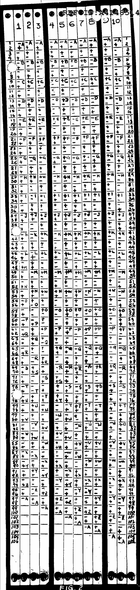|           |                                      |                                   |                                                                                                             |                                                                                                                                                                                                                                                                                                                                                                                                    |                                                                                |                                                                                                                                                                                                                                                                                                                                                                                                                             |                                                                                                                                                                                                                                                                                                                                                                                                                             | CRETOIO:      |                                                                                                                                        | ņQ            | 14                                                                                                                                                                                                                                                                                                                                                                                                                                |         | 851             | 4 |
|-----------|--------------------------------------|-----------------------------------|-------------------------------------------------------------------------------------------------------------|----------------------------------------------------------------------------------------------------------------------------------------------------------------------------------------------------------------------------------------------------------------------------------------------------------------------------------------------------------------------------------------------------|--------------------------------------------------------------------------------|-----------------------------------------------------------------------------------------------------------------------------------------------------------------------------------------------------------------------------------------------------------------------------------------------------------------------------------------------------------------------------------------------------------------------------|-----------------------------------------------------------------------------------------------------------------------------------------------------------------------------------------------------------------------------------------------------------------------------------------------------------------------------------------------------------------------------------------------------------------------------|---------------|----------------------------------------------------------------------------------------------------------------------------------------|---------------|-----------------------------------------------------------------------------------------------------------------------------------------------------------------------------------------------------------------------------------------------------------------------------------------------------------------------------------------------------------------------------------------------------------------------------------|---------|-----------------|---|
| $\bullet$ | $\bullet$<br>$\mathbf 1$             | $\frac{1}{2}$                     | $\bullet$<br>$\overline{5}$                                                                                 | $\bullet$<br>4                                                                                                                                                                                                                                                                                                                                                                                     | 5                                                                              | 6                                                                                                                                                                                                                                                                                                                                                                                                                           | $\overline{\zeta}$                                                                                                                                                                                                                                                                                                                                                                                                          |               | క                                                                                                                                      | $\mathcal{D}$ | 1⊂                                                                                                                                                                                                                                                                                                                                                                                                                                |         |                 |   |
|           |                                      |                                   |                                                                                                             |                                                                                                                                                                                                                                                                                                                                                                                                    |                                                                                |                                                                                                                                                                                                                                                                                                                                                                                                                             |                                                                                                                                                                                                                                                                                                                                                                                                                             |               |                                                                                                                                        |               |                                                                                                                                                                                                                                                                                                                                                                                                                                   |         |                 |   |
|           |                                      |                                   |                                                                                                             |                                                                                                                                                                                                                                                                                                                                                                                                    |                                                                                |                                                                                                                                                                                                                                                                                                                                                                                                                             | - T                                                                                                                                                                                                                                                                                                                                                                                                                         |               |                                                                                                                                        |               |                                                                                                                                                                                                                                                                                                                                                                                                                                   |         |                 |   |
|           |                                      |                                   | シュニュニャムナナ コン・ディー (ペーパー・ディード) ・ ディー・ディー (の) ・ ディー・ディー (の) ・ ディー・ディー (の) ・ ディー・ディー (の)                        | $\frac{1}{2} \left  1 + \frac{1}{2} + \frac{1}{2} + \frac{1}{2} + \frac{1}{2} + \frac{1}{2} + \frac{1}{2} + \frac{1}{2} + \frac{1}{2} + \frac{1}{2} + \frac{1}{2} + \frac{1}{2} + \frac{1}{2} + \frac{1}{2} + \frac{1}{2} + \frac{1}{2} + \frac{1}{2} + \frac{1}{2} + \frac{1}{2} + \frac{1}{2} + \frac{1}{2} + \frac{1}{2} + \frac{1}{2} + \frac{1}{2} + \frac{1}{2} + \frac{1}{2} + \frac{1}{2}$ |                                                                                |                                                                                                                                                                                                                                                                                                                                                                                                                             | $\frac{1}{1 + \frac{1}{1 + \frac{1}{1 + \frac{1}{1 + \frac{1}{1 + \frac{1}{1 + \frac{1}{1 + \frac{1}{1 + \frac{1}{1 + \frac{1}{1 + \frac{1}{1 + \frac{1}{1 + \frac{1}{1 + \frac{1}{1 + \frac{1}{1 + \frac{1}{1 + \frac{1}{1 + \frac{1}{1 + \frac{1}{1 + \frac{1}{1 + \frac{1}{1 + \frac{1}{1 + \frac{1}{1 + \frac{1}{1 + \frac{1}{1 + \frac{1}{1 + \frac{1}{1 + \frac{1}{1 + \frac{1}{1 + \frac{1}{1 + \frac{1}{1 + \frac{$ |               |                                                                                                                                        |               |                                                                                                                                                                                                                                                                                                                                                                                                                                   |         |                 |   |
|           |                                      |                                   |                                                                                                             |                                                                                                                                                                                                                                                                                                                                                                                                    |                                                                                |                                                                                                                                                                                                                                                                                                                                                                                                                             |                                                                                                                                                                                                                                                                                                                                                                                                                             |               |                                                                                                                                        |               |                                                                                                                                                                                                                                                                                                                                                                                                                                   |         |                 |   |
|           |                                      |                                   |                                                                                                             |                                                                                                                                                                                                                                                                                                                                                                                                    |                                                                                |                                                                                                                                                                                                                                                                                                                                                                                                                             |                                                                                                                                                                                                                                                                                                                                                                                                                             |               |                                                                                                                                        |               |                                                                                                                                                                                                                                                                                                                                                                                                                                   |         |                 |   |
|           |                                      |                                   |                                                                                                             |                                                                                                                                                                                                                                                                                                                                                                                                    |                                                                                |                                                                                                                                                                                                                                                                                                                                                                                                                             |                                                                                                                                                                                                                                                                                                                                                                                                                             |               |                                                                                                                                        |               |                                                                                                                                                                                                                                                                                                                                                                                                                                   |         |                 |   |
|           |                                      |                                   |                                                                                                             |                                                                                                                                                                                                                                                                                                                                                                                                    |                                                                                |                                                                                                                                                                                                                                                                                                                                                                                                                             |                                                                                                                                                                                                                                                                                                                                                                                                                             |               |                                                                                                                                        |               |                                                                                                                                                                                                                                                                                                                                                                                                                                   |         |                 |   |
|           |                                      |                                   |                                                                                                             |                                                                                                                                                                                                                                                                                                                                                                                                    |                                                                                |                                                                                                                                                                                                                                                                                                                                                                                                                             |                                                                                                                                                                                                                                                                                                                                                                                                                             |               |                                                                                                                                        |               |                                                                                                                                                                                                                                                                                                                                                                                                                                   |         |                 |   |
|           |                                      |                                   |                                                                                                             |                                                                                                                                                                                                                                                                                                                                                                                                    |                                                                                |                                                                                                                                                                                                                                                                                                                                                                                                                             |                                                                                                                                                                                                                                                                                                                                                                                                                             |               |                                                                                                                                        |               |                                                                                                                                                                                                                                                                                                                                                                                                                                   |         |                 |   |
|           |                                      |                                   |                                                                                                             |                                                                                                                                                                                                                                                                                                                                                                                                    |                                                                                |                                                                                                                                                                                                                                                                                                                                                                                                                             |                                                                                                                                                                                                                                                                                                                                                                                                                             |               |                                                                                                                                        |               |                                                                                                                                                                                                                                                                                                                                                                                                                                   |         |                 |   |
|           |                                      |                                   |                                                                                                             |                                                                                                                                                                                                                                                                                                                                                                                                    |                                                                                |                                                                                                                                                                                                                                                                                                                                                                                                                             |                                                                                                                                                                                                                                                                                                                                                                                                                             |               |                                                                                                                                        |               |                                                                                                                                                                                                                                                                                                                                                                                                                                   |         |                 |   |
|           |                                      |                                   |                                                                                                             |                                                                                                                                                                                                                                                                                                                                                                                                    |                                                                                |                                                                                                                                                                                                                                                                                                                                                                                                                             |                                                                                                                                                                                                                                                                                                                                                                                                                             |               |                                                                                                                                        |               |                                                                                                                                                                                                                                                                                                                                                                                                                                   |         |                 |   |
|           |                                      |                                   |                                                                                                             |                                                                                                                                                                                                                                                                                                                                                                                                    |                                                                                |                                                                                                                                                                                                                                                                                                                                                                                                                             |                                                                                                                                                                                                                                                                                                                                                                                                                             |               |                                                                                                                                        |               |                                                                                                                                                                                                                                                                                                                                                                                                                                   |         |                 |   |
|           |                                      |                                   |                                                                                                             |                                                                                                                                                                                                                                                                                                                                                                                                    |                                                                                |                                                                                                                                                                                                                                                                                                                                                                                                                             |                                                                                                                                                                                                                                                                                                                                                                                                                             |               |                                                                                                                                        |               |                                                                                                                                                                                                                                                                                                                                                                                                                                   |         |                 |   |
|           |                                      |                                   |                                                                                                             |                                                                                                                                                                                                                                                                                                                                                                                                    |                                                                                |                                                                                                                                                                                                                                                                                                                                                                                                                             |                                                                                                                                                                                                                                                                                                                                                                                                                             |               |                                                                                                                                        |               |                                                                                                                                                                                                                                                                                                                                                                                                                                   |         |                 |   |
|           |                                      |                                   |                                                                                                             |                                                                                                                                                                                                                                                                                                                                                                                                    |                                                                                |                                                                                                                                                                                                                                                                                                                                                                                                                             |                                                                                                                                                                                                                                                                                                                                                                                                                             |               |                                                                                                                                        |               |                                                                                                                                                                                                                                                                                                                                                                                                                                   |         |                 |   |
|           |                                      |                                   |                                                                                                             |                                                                                                                                                                                                                                                                                                                                                                                                    |                                                                                |                                                                                                                                                                                                                                                                                                                                                                                                                             |                                                                                                                                                                                                                                                                                                                                                                                                                             |               |                                                                                                                                        |               |                                                                                                                                                                                                                                                                                                                                                                                                                                   |         |                 |   |
|           |                                      |                                   |                                                                                                             |                                                                                                                                                                                                                                                                                                                                                                                                    |                                                                                | $\frac{1}{+1}$                                                                                                                                                                                                                                                                                                                                                                                                              |                                                                                                                                                                                                                                                                                                                                                                                                                             |               |                                                                                                                                        |               |                                                                                                                                                                                                                                                                                                                                                                                                                                   |         |                 |   |
|           |                                      |                                   |                                                                                                             |                                                                                                                                                                                                                                                                                                                                                                                                    |                                                                                |                                                                                                                                                                                                                                                                                                                                                                                                                             |                                                                                                                                                                                                                                                                                                                                                                                                                             |               |                                                                                                                                        |               |                                                                                                                                                                                                                                                                                                                                                                                                                                   |         |                 |   |
|           |                                      |                                   |                                                                                                             |                                                                                                                                                                                                                                                                                                                                                                                                    |                                                                                |                                                                                                                                                                                                                                                                                                                                                                                                                             |                                                                                                                                                                                                                                                                                                                                                                                                                             |               |                                                                                                                                        |               |                                                                                                                                                                                                                                                                                                                                                                                                                                   |         |                 |   |
|           |                                      |                                   |                                                                                                             |                                                                                                                                                                                                                                                                                                                                                                                                    |                                                                                |                                                                                                                                                                                                                                                                                                                                                                                                                             |                                                                                                                                                                                                                                                                                                                                                                                                                             |               |                                                                                                                                        |               |                                                                                                                                                                                                                                                                                                                                                                                                                                   |         |                 |   |
|           |                                      |                                   |                                                                                                             |                                                                                                                                                                                                                                                                                                                                                                                                    |                                                                                |                                                                                                                                                                                                                                                                                                                                                                                                                             |                                                                                                                                                                                                                                                                                                                                                                                                                             |               |                                                                                                                                        |               |                                                                                                                                                                                                                                                                                                                                                                                                                                   |         |                 |   |
|           |                                      |                                   |                                                                                                             |                                                                                                                                                                                                                                                                                                                                                                                                    |                                                                                |                                                                                                                                                                                                                                                                                                                                                                                                                             |                                                                                                                                                                                                                                                                                                                                                                                                                             |               |                                                                                                                                        |               |                                                                                                                                                                                                                                                                                                                                                                                                                                   |         |                 |   |
|           |                                      |                                   |                                                                                                             |                                                                                                                                                                                                                                                                                                                                                                                                    |                                                                                |                                                                                                                                                                                                                                                                                                                                                                                                                             |                                                                                                                                                                                                                                                                                                                                                                                                                             |               |                                                                                                                                        |               |                                                                                                                                                                                                                                                                                                                                                                                                                                   |         |                 |   |
|           |                                      |                                   |                                                                                                             |                                                                                                                                                                                                                                                                                                                                                                                                    |                                                                                |                                                                                                                                                                                                                                                                                                                                                                                                                             |                                                                                                                                                                                                                                                                                                                                                                                                                             |               |                                                                                                                                        |               |                                                                                                                                                                                                                                                                                                                                                                                                                                   |         |                 |   |
|           |                                      |                                   |                                                                                                             |                                                                                                                                                                                                                                                                                                                                                                                                    |                                                                                |                                                                                                                                                                                                                                                                                                                                                                                                                             |                                                                                                                                                                                                                                                                                                                                                                                                                             |               |                                                                                                                                        |               |                                                                                                                                                                                                                                                                                                                                                                                                                                   |         |                 |   |
|           |                                      |                                   |                                                                                                             |                                                                                                                                                                                                                                                                                                                                                                                                    |                                                                                |                                                                                                                                                                                                                                                                                                                                                                                                                             |                                                                                                                                                                                                                                                                                                                                                                                                                             |               |                                                                                                                                        |               |                                                                                                                                                                                                                                                                                                                                                                                                                                   |         |                 |   |
|           |                                      |                                   |                                                                                                             |                                                                                                                                                                                                                                                                                                                                                                                                    |                                                                                |                                                                                                                                                                                                                                                                                                                                                                                                                             |                                                                                                                                                                                                                                                                                                                                                                                                                             |               |                                                                                                                                        |               |                                                                                                                                                                                                                                                                                                                                                                                                                                   |         |                 |   |
|           |                                      |                                   |                                                                                                             |                                                                                                                                                                                                                                                                                                                                                                                                    |                                                                                |                                                                                                                                                                                                                                                                                                                                                                                                                             |                                                                                                                                                                                                                                                                                                                                                                                                                             |               |                                                                                                                                        |               |                                                                                                                                                                                                                                                                                                                                                                                                                                   |         |                 |   |
|           |                                      |                                   |                                                                                                             |                                                                                                                                                                                                                                                                                                                                                                                                    |                                                                                |                                                                                                                                                                                                                                                                                                                                                                                                                             |                                                                                                                                                                                                                                                                                                                                                                                                                             |               |                                                                                                                                        |               |                                                                                                                                                                                                                                                                                                                                                                                                                                   |         |                 |   |
|           |                                      |                                   |                                                                                                             |                                                                                                                                                                                                                                                                                                                                                                                                    |                                                                                |                                                                                                                                                                                                                                                                                                                                                                                                                             |                                                                                                                                                                                                                                                                                                                                                                                                                             |               |                                                                                                                                        |               |                                                                                                                                                                                                                                                                                                                                                                                                                                   |         |                 |   |
|           |                                      |                                   |                                                                                                             |                                                                                                                                                                                                                                                                                                                                                                                                    |                                                                                |                                                                                                                                                                                                                                                                                                                                                                                                                             |                                                                                                                                                                                                                                                                                                                                                                                                                             |               |                                                                                                                                        |               |                                                                                                                                                                                                                                                                                                                                                                                                                                   |         |                 |   |
|           |                                      |                                   |                                                                                                             |                                                                                                                                                                                                                                                                                                                                                                                                    |                                                                                |                                                                                                                                                                                                                                                                                                                                                                                                                             |                                                                                                                                                                                                                                                                                                                                                                                                                             |               |                                                                                                                                        |               |                                                                                                                                                                                                                                                                                                                                                                                                                                   |         |                 |   |
|           |                                      |                                   |                                                                                                             |                                                                                                                                                                                                                                                                                                                                                                                                    |                                                                                |                                                                                                                                                                                                                                                                                                                                                                                                                             |                                                                                                                                                                                                                                                                                                                                                                                                                             |               |                                                                                                                                        |               |                                                                                                                                                                                                                                                                                                                                                                                                                                   |         |                 |   |
|           |                                      |                                   |                                                                                                             |                                                                                                                                                                                                                                                                                                                                                                                                    |                                                                                |                                                                                                                                                                                                                                                                                                                                                                                                                             |                                                                                                                                                                                                                                                                                                                                                                                                                             |               |                                                                                                                                        |               |                                                                                                                                                                                                                                                                                                                                                                                                                                   |         |                 |   |
|           |                                      |                                   |                                                                                                             |                                                                                                                                                                                                                                                                                                                                                                                                    |                                                                                |                                                                                                                                                                                                                                                                                                                                                                                                                             |                                                                                                                                                                                                                                                                                                                                                                                                                             |               |                                                                                                                                        |               |                                                                                                                                                                                                                                                                                                                                                                                                                                   |         |                 |   |
|           |                                      |                                   |                                                                                                             |                                                                                                                                                                                                                                                                                                                                                                                                    |                                                                                |                                                                                                                                                                                                                                                                                                                                                                                                                             |                                                                                                                                                                                                                                                                                                                                                                                                                             |               |                                                                                                                                        |               |                                                                                                                                                                                                                                                                                                                                                                                                                                   |         |                 |   |
|           |                                      |                                   | <u> + カーニュー    イートナー    イートロー    イー・マー    イー・ピー    イー・ピー    イー・アー・   オー・   オー・   オー・   オー・   オー・   オー・ </u> |                                                                                                                                                                                                                                                                                                                                                                                                    | 나는 치 : 기 로 이 가 보는 기 : 이 나는 이 나는 이 나는 지 아니 이 나는 이 나 있는 이 나 있는 이 가 있는 이 아이가 있는 이 | $\frac{1}{1 + \frac{1}{1 + \frac{1}{1 + \frac{1}{1 + \frac{1}{1 + \frac{1}{1 + \frac{1}{1 + \frac{1}{1 + \frac{1}{1 + \frac{1}{1 + \frac{1}{1 + \frac{1}{1 + \frac{1}{1 + \frac{1}{1 + \frac{1}{1 + \frac{1}{1 + \frac{1}{1 + \frac{1}{1 + \frac{1}{1 + \frac{1}{1 + \frac{1}{1 + \frac{1}{1 + \frac{1}{1 + \frac{1}{1 + \frac{1}{1 + \frac{1}{1 + \frac{1}{1 + \frac{1}{1 + \frac{1}{1 + \frac{1}{1 + \frac{1}{1 + \frac{$ |                                                                                                                                                                                                                                                                                                                                                                                                                             |               |                                                                                                                                        |               | $\frac{1}{4}$                                                                                                                                                                                                                                                                                                                                                                                                                     |         |                 |   |
|           |                                      |                                   |                                                                                                             |                                                                                                                                                                                                                                                                                                                                                                                                    |                                                                                |                                                                                                                                                                                                                                                                                                                                                                                                                             |                                                                                                                                                                                                                                                                                                                                                                                                                             |               |                                                                                                                                        |               |                                                                                                                                                                                                                                                                                                                                                                                                                                   |         |                 |   |
|           |                                      | $\frac{1}{12}$<br>$\frac{12}{11}$ |                                                                                                             |                                                                                                                                                                                                                                                                                                                                                                                                    |                                                                                | $\mathbf{H}$                                                                                                                                                                                                                                                                                                                                                                                                                |                                                                                                                                                                                                                                                                                                                                                                                                                             |               |                                                                                                                                        |               |                                                                                                                                                                                                                                                                                                                                                                                                                                   |         | ५३<br><u>५४</u> |   |
|           |                                      |                                   | $\frac{1}{1}$ $\frac{1}{1}$ $\frac{1}{1}$ $\frac{1}{1}$ $\frac{1}{1}$ $\frac{1}{1}$ $\frac{1}{1}$           |                                                                                                                                                                                                                                                                                                                                                                                                    |                                                                                | $\frac{1}{2}$                                                                                                                                                                                                                                                                                                                                                                                                               | ニキーナー                                                                                                                                                                                                                                                                                                                                                                                                                       |               |                                                                                                                                        |               |                                                                                                                                                                                                                                                                                                                                                                                                                                   | +++ ニマー | 花生的             |   |
|           |                                      |                                   |                                                                                                             |                                                                                                                                                                                                                                                                                                                                                                                                    | $\frac{1}{1+2}$<br>$\frac{1}{1+4}$                                             |                                                                                                                                                                                                                                                                                                                                                                                                                             |                                                                                                                                                                                                                                                                                                                                                                                                                             | $\frac{1}{2}$ |                                                                                                                                        |               |                                                                                                                                                                                                                                                                                                                                                                                                                                   |         |                 |   |
|           | <b>TATION APPLICATION AND ALLOWS</b> |                                   |                                                                                                             |                                                                                                                                                                                                                                                                                                                                                                                                    |                                                                                | <u>፥</u><br>–ዳ                                                                                                                                                                                                                                                                                                                                                                                                              | $\frac{1}{1}$<br>$\frac{1}{1}$<br>$\frac{1}{1}$<br>$\frac{1}{1}$                                                                                                                                                                                                                                                                                                                                                            | $\frac{1}{2}$ | $\frac{1}{11}$ $\frac{1}{11}$ $\frac{1}{11}$ $\frac{1}{11}$ $\frac{1}{11}$ $\frac{1}{11}$ $\frac{1}{11}$ $\frac{1}{11}$ $\frac{1}{11}$ |               | $\frac{1}{\sqrt{1-\frac{1}{\sqrt{1-\frac{1}{\sqrt{1-\frac{1}{\sqrt{1-\frac{1}{\sqrt{1-\frac{1}{\sqrt{1-\frac{1}{\sqrt{1-\frac{1}{\sqrt{1-\frac{1}{\sqrt{1-\frac{1}{\sqrt{1-\frac{1}{\sqrt{1-\frac{1}{\sqrt{1-\frac{1}{\sqrt{1-\frac{1}{\sqrt{1-\frac{1}{\sqrt{1-\frac{1}{\sqrt{1-\frac{1}{\sqrt{1-\frac{1}{\sqrt{1-\frac{1}{\sqrt{1-\frac{1}{\sqrt{1-\frac{1}{\sqrt{1-\frac{1}{\sqrt{1-\frac{1}{\sqrt{1-\frac{1}{\sqrt{1+\frac{1$ |         | 竹88的13时候        |   |
|           |                                      |                                   |                                                                                                             |                                                                                                                                                                                                                                                                                                                                                                                                    |                                                                                |                                                                                                                                                                                                                                                                                                                                                                                                                             |                                                                                                                                                                                                                                                                                                                                                                                                                             |               |                                                                                                                                        |               |                                                                                                                                                                                                                                                                                                                                                                                                                                   | ミニー ナート |                 |   |
|           |                                      |                                   |                                                                                                             |                                                                                                                                                                                                                                                                                                                                                                                                    |                                                                                |                                                                                                                                                                                                                                                                                                                                                                                                                             |                                                                                                                                                                                                                                                                                                                                                                                                                             |               |                                                                                                                                        |               |                                                                                                                                                                                                                                                                                                                                                                                                                                   |         |                 |   |
|           |                                      | ŕ                                 |                                                                                                             |                                                                                                                                                                                                                                                                                                                                                                                                    |                                                                                |                                                                                                                                                                                                                                                                                                                                                                                                                             |                                                                                                                                                                                                                                                                                                                                                                                                                             |               |                                                                                                                                        |               |                                                                                                                                                                                                                                                                                                                                                                                                                                   |         |                 |   |
|           |                                      |                                   |                                                                                                             |                                                                                                                                                                                                                                                                                                                                                                                                    |                                                                                |                                                                                                                                                                                                                                                                                                                                                                                                                             |                                                                                                                                                                                                                                                                                                                                                                                                                             |               |                                                                                                                                        |               |                                                                                                                                                                                                                                                                                                                                                                                                                                   |         |                 |   |
|           |                                      | 1                                 |                                                                                                             |                                                                                                                                                                                                                                                                                                                                                                                                    |                                                                                |                                                                                                                                                                                                                                                                                                                                                                                                                             |                                                                                                                                                                                                                                                                                                                                                                                                                             |               |                                                                                                                                        |               |                                                                                                                                                                                                                                                                                                                                                                                                                                   |         |                 |   |
|           |                                      |                                   |                                                                                                             |                                                                                                                                                                                                                                                                                                                                                                                                    |                                                                                |                                                                                                                                                                                                                                                                                                                                                                                                                             |                                                                                                                                                                                                                                                                                                                                                                                                                             |               |                                                                                                                                        |               |                                                                                                                                                                                                                                                                                                                                                                                                                                   |         |                 |   |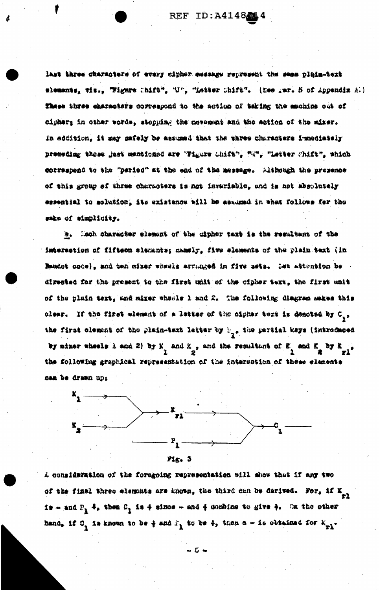last three characters of every cipher message represent the same plain-text elements, vis., Wigare Chift", "U", "Letter Chift". (Nee yar. 5 of Appendix A.) These three characters correspond to the action of teking the machine out of cipher; in other words, stopping the novement and the action of the mixer. In addition. it may mafely be assumed that the three characters immediately preseding these just mentioned are "Figure Chift", "M", "Letter Chift", which correspond to the "paried" at the end of the message. Although the presence of this group of three characters is not invariable, and is not absolutely essential to solution, its existence will be assumed in what follows for the sake of simplicity.

b. Lach character element of the cipher text is the resultant of the imteraction of fifteen elements; mamely, five elements of the plain text (in Baudot code), and ten mixer wheals arranged in five sets. Ist attention be directed for the present to the first unit of the cipher text, the first unit of the plain text, and mixer wheels 1 and 2. The following diagree makes this clear. If the first element of a letter of the cipher text is denoted by C<sub>1</sub>. the first clement of the plain-text letter by  $\mathbb{F}_{q,s}$  the partial kays (introduced by mixer wheels 1 and 2) by K and K , and the resultant of K and K by K ... the following graphical representation of the intersotion of these elements can be drawn up:



A consideration of the foregoing representation will show that if any two of the final three elements are known, the third can be derived. For, if  $\mathbb{Z}_{p\lambda}$ is - and  $P_1$  +, then  $C_1$  is + since - and + combine to give +. On the other band, if  $0$ , is known to be  $\frac{1}{4}$  and  $\frac{1}{4}$  to be  $\frac{1}{4}$ , then a - is obtained for  $k_{p1}$ .

 $-5 -$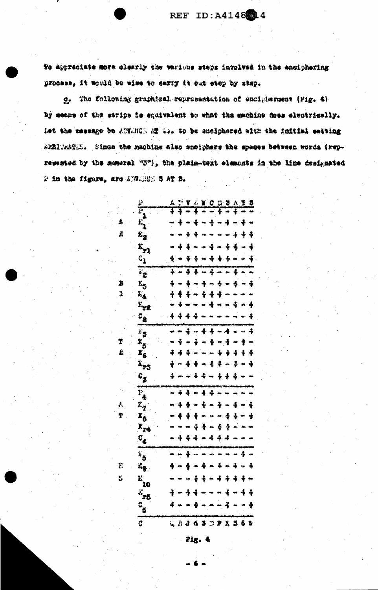To appreciate more clearly the verious stops involved in the enciphering process, it would be wise to carry it out step by step.

c. The following graphical representation of enciplentest (Fig. 4) by means of the strips is equivalent to what the machine does electrically. Let the message be AUTANOD AT to. to be cholphored with the initial setting ARBITRATE. Since the machine also emaiphers the spaces between words (represtated by the sumeral "3"), the plain-text elements in the line designated 2 in the figure, are ANGES 5 AT 3.

 $\hat{\mathbf{R}}$ 

B  $\mathbf{r}$ 

÷ È.

Ą,

 $\mathbf{E}$ Ś

| 迳                          | Á.  |   |    |    |                  |                         |                  |                                            |                  |                                  |   |
|----------------------------|-----|---|----|----|------------------|-------------------------|------------------|--------------------------------------------|------------------|----------------------------------|---|
| Ē<br>1                     |     |   |    |    |                  |                         |                  |                                            |                  | 7242                             |   |
| $\mathbf{E}_{\mathbf{A}}$  |     |   |    |    |                  | $\clubsuit$             |                  | 4                                          |                  | ♣                                |   |
| Ł,                         |     |   | 3  |    |                  |                         |                  |                                            |                  |                                  |   |
| $\mathbf{x}_{r1}^2$        |     |   |    |    |                  | å.                      |                  | $\rightarrow$ $\frac{1}{2}$                | 4                |                                  | 辛 |
| $\mathcal{C}_2$            | 4   |   |    | ÷  |                  |                         |                  | $+ 4$                                      |                  |                                  | 4 |
|                            | τ   |   | 4  | 4. | $\frac{1}{4\pi}$ | $\overline{\mathbf{1}}$ |                  |                                            | ī                |                                  |   |
| $\overline{v_2}$           |     |   |    |    |                  |                         |                  |                                            |                  |                                  |   |
| k.,                        | 4   |   | J  |    | 4                |                         | $\ddot{\bullet}$ | $- 4$                                      |                  |                                  |   |
| L.                         | ÷   | 4 |    | °₩ | $+ 4$            |                         |                  |                                            |                  |                                  |   |
| r<br>Trz                   |     |   |    |    |                  |                         |                  |                                            |                  | $\leftrightarrow$ 4              |   |
| $c_{\bf g}$                | 44  |   | 4  | 4  |                  |                         |                  | $\mathbf{m}$ , $\mathbf{m}$ , $\mathbf{m}$ |                  |                                  |   |
| $\mathbf{r}_\mathbf{z}$    |     |   | 土  |    | $-4.4$           |                         |                  | $-4.4$                                     |                  |                                  | 4 |
| x <sub>5</sub>             |     |   |    | ÷  |                  |                         |                  | ÷ē                                         |                  | ÷                                |   |
| $\mathbf{x}_6$             | 4   |   | 4  |    |                  |                         | 4                |                                            | 4                | $\ddot{\bullet}$                 | 4 |
| X <sub>23</sub>            | ♣   |   |    |    |                  | 4                       | $\ddot{\ddag}$   |                                            | ÷                |                                  |   |
| $c_{\rm g}$                | 4   |   |    |    | - 36             |                         |                  | 毒毒毒一                                       |                  |                                  |   |
|                            |     |   |    |    |                  |                         |                  |                                            |                  |                                  |   |
| $P_{\clubsuit}$            |     | 4 | 4  |    |                  | 44                      |                  |                                            |                  |                                  |   |
| $x_{\boldsymbol{q}}$       |     |   |    |    |                  | $\blacksquare$          | 4                |                                            | 4                |                                  |   |
| $\mathbf{r}_6$             |     | ♦ | \$ |    |                  |                         |                  | 4                                          | ÷                |                                  |   |
| $\mathbf{K}_{\mathbf{2}4}$ |     |   |    |    |                  | aw.                     | ÷                | 4                                          |                  |                                  |   |
| $\mathbf{c}_\bullet$       |     |   |    |    |                  | 4                       | 亭                | -4                                         |                  |                                  |   |
|                            |     |   |    |    |                  |                         |                  |                                            |                  |                                  |   |
| $\mathbf{F}_5$             |     |   |    |    |                  |                         |                  |                                            |                  |                                  |   |
| L,                         |     |   | 송  | æ  | 4                |                         | ÷                |                                            | $\ddot{\bullet}$ | نيها                             | 4 |
| e:<br>20                   |     |   |    |    | ቶ ተ              |                         | 4                |                                            | 44               | -4                               |   |
| $x$ <sub>r</sub>           | ÷   |   | 4  | 4  |                  |                         |                  | 4                                          | ته               | 4                                | 4 |
| $c_{\bf g}$                | 4 - |   |    | ∯  |                  |                         |                  | $\ddot{\bullet}$                           |                  |                                  |   |
|                            |     |   |    |    |                  |                         |                  |                                            |                  |                                  |   |
| Ć.                         |     |   |    |    |                  |                         |                  |                                            |                  | <b>Q D J &amp; 3 D P X 3 6 T</b> |   |

 $P_{ABC}$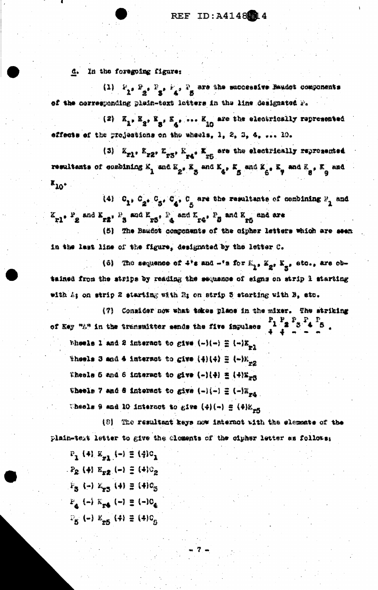d. In the foregoing figure:

(1)  $F_2 \cdot P_2 \cdot F_3 \cdot F_4$  . The size successive Baudot components of the corresponding plein-toxt latters in the line designated r.

(2)  $K_1$ ,  $K_3$ ,  $K_3$ ,  $K_4$ , ...  $K_{10}$  are the electrically represented effects of the projections on the wheels, 1, 2, 3, 4, ... 10.

(3)  $K_{x1}$ ,  $K_{x2}$ ,  $K_{x3}$ ,  $K_{x4}$ ,  $K_{x5}$  are the electrically reprosented resultants of combining  $K_1$  and  $K_2$ .  $K_3$  and  $K_4$ ,  $K_5$  and  $K_6$ ,  $K_7$  and  $K_8$ ,  $K_9$  and  $x_{10}$ 

(4)  $C_{1}$ ,  $C_{2}$ ,  $C_{5}$ ,  $C_{4}$ ,  $C_{\kappa}$  are the resultants of combining  $P_{1}$  and  $K_{r1}$ ,  $P_2$  and  $K_{r2}$ ,  $P_3$  and  $K_{r3}$ ,  $P_4$  and  $K_{r4}$ ,  $P_3$  and  $K_{r5}$  and are

(5) The Baudot components of the cipher letters which are seen in the last line of the figure, designated by the letter C.

(6) The sequence of  $4*$ s and  $-1$ s for  $k_1$ ,  $k_2$ ,  $k_3$ , etc., are obtained from the strips by reading the sequence of signs on strip 1 starting with  $L_1$  on strip 2 starting with R; on strip 3 starting with B, etc.

(7) Consider now what takes place in the mixer. The striking of Key "i" in the transmitter sends the five impulses  $\begin{bmatrix} P_1 & P_2 & P_4 & P_5 \end{bmatrix}$ Wheels 1 and 2 interact to give  $(-)(-) \equiv (-)K_{-1}$ Theels 3 and 4 interact to give  $(4)(4) \equiv (-)K_{-2}$ Thesis 5 and 6 interact to give  $(-)(4) \equiv (+)X_{\text{prR}}$ Wheels 7 and 8 interact to give  $(-)(-) \equiv (-) \mathbb{E}_{-1}$ Wheels 9 and 10 interact to give  $(4)(-) \oplus (4)$   $K_{\pi}$ 5

(8) The resultant keys now internot with the elements of the plain-text letter to give the cloments of the cipher letter as follows;

 $P_1$  (4)  $X_{n1}$  (-)  $\equiv$  (4) $C_1$  $P_2$  (4)  $E_{xx}$  (-)  $\equiv$  (4) $c_2$  $F_{\rm g}$  (-)  $K_{\rm g}$  (4)  $\equiv$  (4) $\sigma_{\rm g}$  $F_A(-)K_{\text{rad}}(-) \equiv (-)C_A$  $P_{K}(-)$   $K_{-K}(\phi) \equiv (4)C_{n}$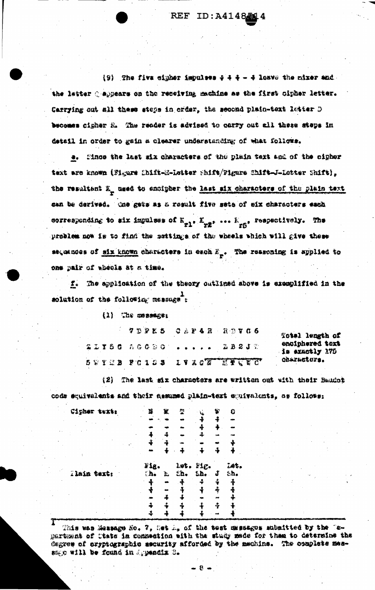REF ID: A4148514

 $\{9\}$  The five cipher impulses  $9 + 4 - 4$  losve the mixer and the letter ( appears on the reseiving machine as the first cipher letter. Carrying out all these stops in order, the second plain-text letter D becomes cigher 2. The reader is advised to carry out all these steps in detail in order to gain a clearer understanding of what follows.

e. Since the last six characters of the plain text and of the cipher text are known (Figure Chift-M-Lotter Shift/Figure Chift-J-Lotter Shift), the resultant E<sub>n</sub> used to ancipher the last six characters of the plain text can be derived. One gate as a result five sate of eix characters each corresponding to six impulses of  $E_{p1}$ .  $E_{p2}$ , ...  $E_{p3}$ , respectively. The problem now is to find the settings of the wheels which will give these sequences of six known characters in each  $E_{\mu}$ . The responing is applied to one pair of absols at a time.

f. The application of the theory outlined above is examplified in the solution of the following message :

 $(1)$  The cossenate

7DPE5 CAP4R RDTC6 21156 56000  $2821$   $\%$  $L V X C \overline{X}$ **BUTEB POISS LIVEC.** 

Total length of enciphered text is exactly 175 characters.

(2) The last six characters are written out with their Baudot code equivalents and their demuned plain-text equivalents, os follows:

| Cipher text: | ÿ                      | 翼  | 쫼     |      | Ÿ | Û    |
|--------------|------------------------|----|-------|------|---|------|
|              |                        |    |       |      |   |      |
|              |                        |    |       |      |   |      |
|              |                        |    |       |      |   |      |
|              | 4                      |    |       |      |   |      |
|              |                        |    |       |      |   |      |
|              | Fig.                   |    | 1.05. | Pig. |   | īAt. |
| Tlain text:  | $\mathbf{h}_{\bullet}$ | Ł, | £ħ.   | k    | Ĵ | 5h.  |
|              |                        |    |       |      |   |      |
|              |                        |    |       |      |   |      |
|              |                        |    |       |      |   |      |
|              |                        |    | 4     |      |   |      |
|              |                        |    |       |      |   |      |
|              |                        |    |       |      |   |      |

This was Massage Ho. 7, het is of the test messages submitted by the Te-Bartmont of Ctate in connection with the study made for them to determine the degree of cryptographic mecurity afforded by the machine. The complete menasgo will be found in Appendix B.

. 8 ⇒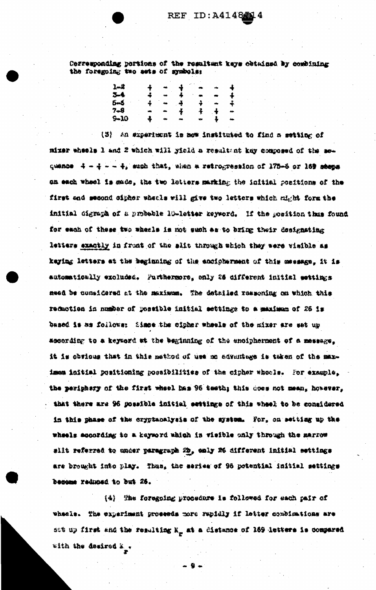Corresponding portions of the resultant keys obtained by combining the foregoing two awts of symbols:

| 1.2     | ÷                | $\bullet$                   | $\frac{1}{2}$ $\sim$ |               | ada.      | $\overline{4}$       |
|---------|------------------|-----------------------------|----------------------|---------------|-----------|----------------------|
| $3 - 4$ | $\ddot{\bullet}$ | $\frac{1}{2}$               | 事 一                  | $\sim$        | $\bullet$ | ┫                    |
| $5 - 5$ |                  | $\frac{2}{3}$ $\frac{1}{3}$ | $\frac{4}{2}$        | √≱ — —        |           | 4                    |
| $7 - 9$ | u.               | $\blacksquare$              | $\frac{1}{2}$        | $\frac{1}{2}$ | $\pm$     | $\ddot{\phantom{0}}$ |
| $-10$   | $\frac{1}{2}$    | $\bullet$                   | <b>State</b>         |               | ⇒ ≱ิ      | $\hat{\phantom{a}}$  |

(3) An experiment is now instituted to find a setting of mizer wheels 1 and 2 which will yield a resultant key composed of the sequence 4 - 4 - - 4, such that, shen a retrogression of 175-6 or 169 seems on each wheel is made, the two letters marking the initial positions of the first and second cipher wheels will give two latters which might form the initial digraph of a probable lo-letter keyword. If the mosition thus found for each of these two wheals is not such as to bring their designation letters exactly in front of the slit through which they were visible as keying letters at the beginning of the encipherment of this message, it is automatically excluded. Purthermore, only 26 different initial wettings need be considered at the maximum. The detalled responing on which this reduction in number of possible initial settings to a maximum of 26 is based is as follows: Since the cipher wheels of the mixer are set up according to a keyword at the beginning of the encipherment of a message. it is obvious that in this mathod of use no advantage is taken of the maximes initial positioning possibilities of the cipher whocle. For example, the periphery of the first wheel has 96 testh; this does not mean, however, that there are 96 possible initial settings of this wheel to be considered in this phase of the cryptanalysis of the system. For, on selting up the wheels according to a keymord which in visible only through the marrow slit referred to under paragraph 2h, emly 26 different initial settings are brought into play. Thus, the series of 96 potential initial settings become reduced to but 26.

(4) Whe foregoing procedure is followed for each pair of wheele. The experiment proceeds more rapidly if letter combinations are sot up first and the resulting X\_ at a distance of 169 letters is compared with the desired E<sub>s</sub>.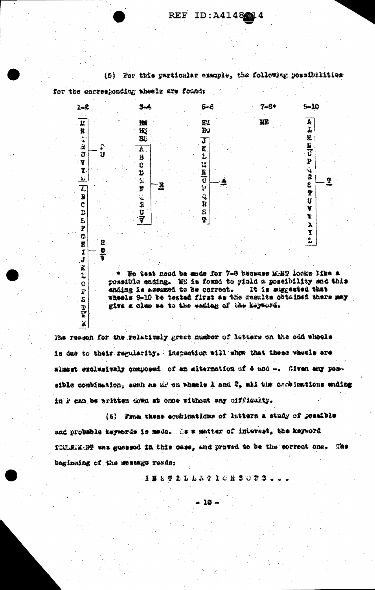

(5) For this particular crample, the following possibilities

The resson for the rolatively great number of letters on the odd whoels is due to their regularity. Inspection will show that these whecls are slmost exclusively composed of an alternation of 4 and -. Given any possible combination, such as Mr on wheels I and 2, sll the combinations ending in P can be written down at once without any difficulty.

 $\mathbf{X}$ 

(6) From these combinations of latters a study of possible and probable keywords is made. As a matter of interest, the keyword TOURING Wes guessed in this case, and proved to be the correct one. The beginning of the message reads:

**CHOSHOLD DATE & TO BB** 

ነድ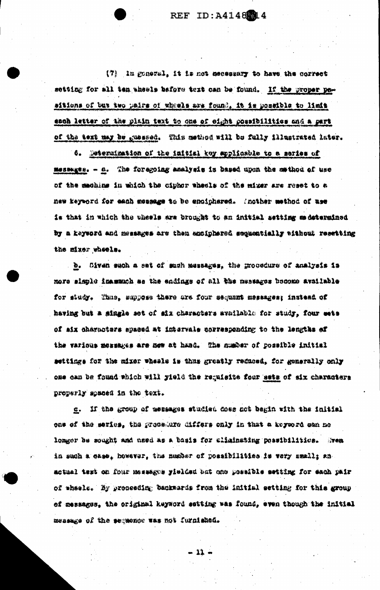REF ID: A4148 14

(7) In goneral, it is not necessary to have the correct setting for all ten wheels before text can be found. If the groper pesitions of but two pairs of wheels are found, it is possible to limit each letter of the plain text to one of eight possibilities and a part of the text may be guessed. This method will be fully illustrated later.

6. Determination of the initial key applicable to a series of messages. - a. The foregoing analysis is based upon the method of use of the maching in which the ciphor wheels of the miger are reset to a new keyword for each mossage to be enciphared. Inother method of use is that in which the wheels are brought to an initial setting as determined by a keyword and messages are then anoiphered sequentially tithout resetting the mixer wheels.

. b. Civen such a set of such messages, the procedure of analysis is more simple inammuch as the endings of all the nussages become available for study. Thus, suppose there are four sequant messages; instead of having but a single set of six characters available for study, four sets of aix characters spaced at intervale corresponding to the lengths of the various messages are now at hand. The number of possible initial settings for the mixer wheals is thus greatly reduced, for generally only one can be found which will gield the requisite four sets of six characters properly spaced in the text.

c. If the group of messages studied does not begin with the initial one of the series, the procedure differs only in that a keyword can no longer be sought and used as a basis for climinating possibilities. Mrea in such a case, however, the munder of possibilities is very small; anactual test on four messages yielded but one possible setting for each pair of wheele. By proceeding backwards from the initial setting for this group of messages, the original keyword setting was found, even though the initial message of the sequence was not furnished.

- 11 -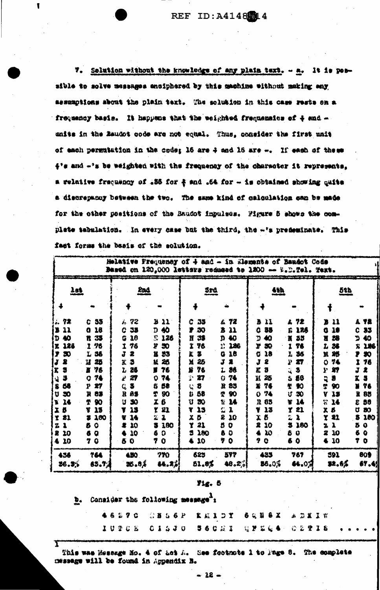$\mathbf{r}$ 

7. Selution without the knowledge of any plain text. - a. It is perthe mithin thousand endight to bendishers access solling to eldies assumptions about the plain text. The solution in this case rests on a frequency basis. It happens that the weighted frequenaies of 4 and units in the Baudot code are not equal. Thus, consider the first unit of each permutation in the code; 16 are 4 and 16 are -. If each of these 4's and -'s be weighted with the frequency of the character it represents, a relative fraquency of .36 for 4 and .64 for - is obtained showing quite a discrepancy between the two. The same kind of calculation can be made for the other positions of the Baudot impulses. Figure 5 shows the complete tabulation. In every case but the third, the -'s predeminate. This fact forms the basis of the solution.

|                                                                                                                                                   |                                                                                                                                                                          | Melative Frequency of 4 and - in Elements of Bandot Code<br>Based on 120,000 letters reduced to 1200 -- W.D.Tel. Text.                                  |                                                                                                                                                                                            |                                                                                                                                                                   |                                                                                                                                                                                                        |                                                                                                                                                                                   |                                                                                                                                                                   |                                                                                                                                                                   |                                                                                                                                                                       |
|---------------------------------------------------------------------------------------------------------------------------------------------------|--------------------------------------------------------------------------------------------------------------------------------------------------------------------------|---------------------------------------------------------------------------------------------------------------------------------------------------------|--------------------------------------------------------------------------------------------------------------------------------------------------------------------------------------------|-------------------------------------------------------------------------------------------------------------------------------------------------------------------|--------------------------------------------------------------------------------------------------------------------------------------------------------------------------------------------------------|-----------------------------------------------------------------------------------------------------------------------------------------------------------------------------------|-------------------------------------------------------------------------------------------------------------------------------------------------------------------|-------------------------------------------------------------------------------------------------------------------------------------------------------------------|-----------------------------------------------------------------------------------------------------------------------------------------------------------------------|
| 201                                                                                                                                               |                                                                                                                                                                          | <u>2nd</u>                                                                                                                                              |                                                                                                                                                                                            | Srd                                                                                                                                                               |                                                                                                                                                                                                        | <u>4th</u>                                                                                                                                                                        |                                                                                                                                                                   | 58b                                                                                                                                                               |                                                                                                                                                                       |
|                                                                                                                                                   |                                                                                                                                                                          |                                                                                                                                                         |                                                                                                                                                                                            |                                                                                                                                                                   |                                                                                                                                                                                                        |                                                                                                                                                                                   |                                                                                                                                                                   |                                                                                                                                                                   |                                                                                                                                                                       |
| 92<br>11<br>40<br>Ð<br>126<br>濫<br>30<br>全<br>\$<br>K<br>9<br>Q<br>S<br>68<br>30<br>Ħ<br>14<br>'N<br>Б<br>ı<br>21<br>Ŧ<br>1<br>z<br>倉<br>10<br>30 | 55<br>C.<br>18<br>o.<br>33<br>R<br>1 76<br>L 56<br>Ħ<br>25<br>76<br>П<br>74<br>o<br>27<br>Р<br>83<br>R<br>90<br>Ť<br>13<br>T<br>180<br>з.<br>5 C<br>$\bullet$<br>6<br>76 | 72<br>Ä.<br>38<br>C<br>16<br>G<br>76<br>2<br>3<br>X.<br>26<br>Ï.<br>27<br>فخط<br>3<br>C.<br>85<br>R<br>30<br>IJ<br>15<br>14<br>₹<br>10<br>2<br>30<br>50 | $\mathbf{u}$<br>В<br>40<br>Ð.<br>髪<br>126<br>50<br>У<br>53<br>R<br>25<br>M<br>76<br>ч<br>74<br>Ω<br>58<br>S<br>90<br>Ť<br>X.<br>B<br>21<br>Ÿ.<br>2.<br>-1.<br>180<br>в<br>Đ<br>6<br>7<br>0 | 35<br>c<br>30<br>Ħ<br>38<br>Ĩ.<br>76<br>r<br>3.<br>X<br>25<br>76<br>耸<br>27<br>堅<br>书<br>€<br>58<br>釞<br>ប<br>か<br>13<br>Y<br>芏<br>Ö<br>21<br>Y<br>280<br>5<br>30 | 72<br>Ł.<br>11<br>в<br>40<br>n<br>함.<br>수수<br>186<br>18<br>a<br>Ĵ.<br>1<br>36<br>ı<br>74<br>Ω<br>85<br>跫<br>90<br>Φ<br>14<br>Ÿ<br>C<br>ı<br>S.<br>10<br>S.<br>$\mathbf{O}$<br>$\bullet$<br>B<br>O<br>7 | 11<br>a<br>35<br>Ω<br>40<br>D<br>r<br>80<br>38<br>C<br>2<br>J<br>3<br>K<br>25<br>K<br>76<br>х<br>74<br>O<br>65<br>Ä<br>¥<br>13<br>õ<br>X<br>10<br>2<br>10<br>A<br>9.<br>$\bullet$ | A 72<br>175<br>К<br>35<br>х<br>76<br>I<br>36<br>Ł<br>P<br>27<br>ίś,<br>3<br>68<br>Ŝ.<br>心<br>氅<br>U<br>50<br>14<br>讆<br>君工<br>Y<br>Ľ,<br>ž<br>3 180<br>8 Q<br>6 Q | 11<br>18<br>a<br>38<br>Ħ<br>36<br>Ł<br>25<br>X<br>梦念<br>Ω<br>孵<br>P<br>ą<br>Б<br>컢<br>90<br>V<br>18<br>Ŧ<br>14<br>x<br>8<br>21<br>Y<br>1<br>ż.<br>10<br>2<br>≰ 10 | 72<br>A.<br>33<br>c<br>40<br>J.<br>126<br>Х.<br>30<br>76<br>J<br>龛<br>Ż<br>J<br>76<br>Y<br>88<br>R<br>58<br>ε<br>80<br>u<br>180<br>Б<br>5<br>O<br>Ł<br>♦<br>$\bullet$ |
| 436<br>36.3%                                                                                                                                      | 764<br>85.7.4                                                                                                                                                            | 450<br>26.84                                                                                                                                            | 770<br>84.21                                                                                                                                                                               | 625<br>51.8%                                                                                                                                                      | 577<br>48.2%                                                                                                                                                                                           | 433<br>86.0%                                                                                                                                                                      | 757<br>64.0A                                                                                                                                                      | 591<br>32.6%                                                                                                                                                      | 809<br>67.4                                                                                                                                                           |

## $y_{44}$ ,  $5$

| b. Consider the following message <sup>3</sup> : |  |  |  |  |  |                                     |  |  |  |  |  |  |  |  |  |  |  |
|--------------------------------------------------|--|--|--|--|--|-------------------------------------|--|--|--|--|--|--|--|--|--|--|--|
|                                                  |  |  |  |  |  | 垂着蓝翠岩 总算自尊是 化成生白素 春食罂粟属 医急震区的       |  |  |  |  |  |  |  |  |  |  |  |
|                                                  |  |  |  |  |  | IUPOE OISTO B60SI GYRG4 O2YIS +++++ |  |  |  |  |  |  |  |  |  |  |  |
|                                                  |  |  |  |  |  |                                     |  |  |  |  |  |  |  |  |  |  |  |

This was Message No. 4 of act A. See footnote 1 to Fage 8. The complete message will be found in Appendix B.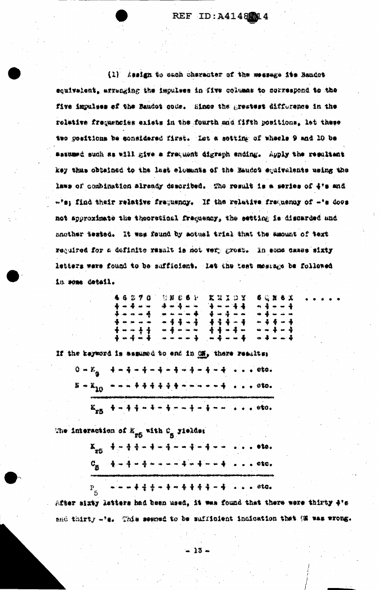(1) healgh to such character of the message its Bandot squivalent, arranging the impulses in five columns to correspond to the five impulses of the Baudot code. Since the greatest difference in the rol#tive frequencies exists in the fourth and fifth positions. let these two positions be considered first. Let a sotting of wheels 9 and 10 be satumed such as will give a frequent digraph ending. Apply the resultant key thas obtained to the last elements of the Baudot equivalents using the laws of combination already described. The result is a series of 4's and -'s; find their relative frequency. If the relative frequency of -'s doos not approximate the theoratical frequency, the setting is discarded and another tested. It was found by motual trial that the amount of text required for a definite result is not very groat. In equa cases sixty letters were found to be sufficient. Let the test mostage be followed in some detail.

|  | 牛马忍不住       |                  |  | 容额 启号下                     |              |  | だ 28 ス つ ズ    |  | 6 党 8 6 米     |  |
|--|-------------|------------------|--|----------------------------|--------------|--|---------------|--|---------------|--|
|  | 专业事业业       |                  |  | <b>语如语曰曰</b>               |              |  | $-2 - 4 - 4$  |  | $-3 - - 4$    |  |
|  |             | 停用用用量            |  |                            | . <b>. .</b> |  | 专业事业州         |  |               |  |
|  |             | <b>+ - - - -</b> |  | ት ተቋማ ተ                    |              |  | $4, 4, 4, -4$ |  | 如杀拳一杀         |  |
|  | $+ - - + +$ |                  |  | <u> man de</u> mei mei mei |              |  | $4 + - 4 -$   |  |               |  |
|  |             | 骨心带心音            |  | *****                      |              |  | ⊶ 4 ∞ ∞ 4     |  | $- + - - - -$ |  |

If the keyword is assumed to end in on, there results:  $0 = E_{\alpha} - \frac{1}{4} = \frac{1}{4} = \frac{1}{4} = \frac{1}{4} = \frac{1}{4} = \frac{1}{4} = \frac{1}{4} = \frac{1}{4} = \frac{1}{4} = \frac{1}{4} = \frac{1}{4} = \frac{1}{4} = \frac{1}{4} = \frac{1}{4} = \frac{1}{4} = \frac{1}{4} = \frac{1}{4} = \frac{1}{4} = \frac{1}{4} = \frac{1}{4} = \frac{1}{4} = \frac{1}{4} = \frac{1}{4} = \frac{1}{4} = \frac{1}{4} = \frac{1}{4} = \frac{1$  $B + X_{10}$  ----  $A + 4 + 4 + 4 + ... + -4$  ... oto. 

The interaction of K<sub>r5</sub> with C<sub>g</sub> yields:

 $K_{\text{eff}} = \frac{4}{3} - \frac{1}{3} + \frac{1}{3} - \frac{1}{3} - \frac{1}{3} - \frac{1}{3} - \frac{1}{3} - \frac{1}{3} - \frac{1}{3} - \frac{1}{3} - \frac{1}{3} - \frac{1}{3} - \frac{1}{3} - \frac{1}{3} - \frac{1}{3} - \frac{1}{3} - \frac{1}{3} - \frac{1}{3} - \frac{1}{3} - \frac{1}{3} - \frac{1}{3} - \frac{1}{3} - \frac{1}{3} - \frac{1}{3} - \frac{1}{3} - \frac{1}{3} - \frac{1$  $C_{\underline{3}}$   $\begin{array}{ccc} 4-4-4+...+4+4+4 & ... & 010. \end{array}$ 

**小小小凌凌凌小手吹着凌凌凌一声 2010 0ta.** 

 $P_{\epsilon}$ After sixty lotters had been used, it was found that there were thinty 4's and thirty -'s. This seemed to be sufficient indication that (E was wrong.

 $-25 -$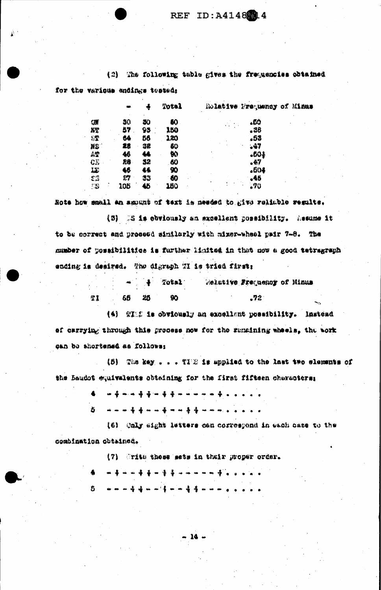(2) The following table gives the frequencies obtained for the various endings tested:

|              |     |    | Total |  | Rolative Nrequency of Misas |  |
|--------------|-----|----|-------|--|-----------------------------|--|
| <b>QW</b>    | 50  | ðО | 80    |  | دb).                        |  |
| 蹲            | 57  | 95 | 150   |  | . 38                        |  |
| €₽           | 64  | 56 | 120   |  | .53                         |  |
| HS .         | 28  | 32 | 60    |  | .47                         |  |
| AT           | 46  | 44 | W)    |  | .604                        |  |
| $C_{\nu}$    | 26  | 32 | 60    |  | ,47                         |  |
| IJ           | H   | 46 | 90    |  | .604                        |  |
| $\mathbf{C}$ | 27  | 33 | 60    |  | .46                         |  |
| ÷<br>打起      | 105 | 46 | 160   |  | .70                         |  |

Hote how small an amount of text is needed to give reliable results.

(5) 35 is ebviously an excellent possibility. Assume it to be correct and proceed similarly with mixer-wheel pair 7-8. The number of possibilities is further limited in that now a good tetragraph ending is desired. The digraph WI is tried first:

|     |       | $ +$ $Tots$ | Relative Frequency of Hinus |  |
|-----|-------|-------------|-----------------------------|--|
| IT. | 65 25 |             | -72                         |  |

(4) TIME is obviously an excellent possibility. Instead of carrying through this process now for the remaining wheels, the work can be shortened as follows:

(5) The key . . . TIE is applied to the last two elements of the Baudot equivalents obtaining for the first fifteen chapmoters:

(6) Caly sight letters can correspond in each case to the combination obtained.

(7) Orits those mets in their proper order.

8.